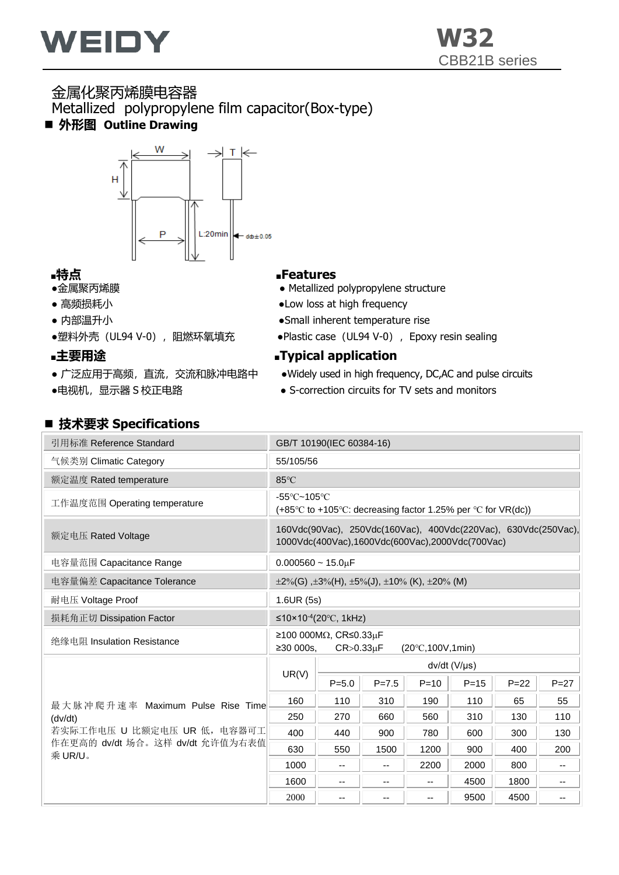

# 金属化聚丙烯膜电容器 Metallized polypropylene film capacitor(Box-type)

■ 外形图 Outline Drawing



- 
- 
- 
- 

- 
- 

◼ **技术要求 Specifications**

# ■特点<br>■金属聚丙烯膜 ■Features

- Metallized polypropylene structure
- 高频损耗小 Dow loss at high frequency
- 内部温升小 ●Small inherent temperature rise
- ●塑料外壳(UL94 V-0), 阻燃环氧填充→ ●Plastic case (UL94 V-0), Epoxy resin sealing

## **■主要用途 ■Typical application**

- 广泛应用于高频, 直流, 交流和脉冲电路中 → Widely used in high frequency, DC,AC and pulse circuits
- ●电视机,显示器 S 校正电路 → Desemble S-correction circuits for TV sets and monitors

| 引用标准 Reference Standard                    | GB/T 10190(IEC 60384-16)         |                                           |           |                                                                                                                   |                       |          |                          |  |  |  |  |
|--------------------------------------------|----------------------------------|-------------------------------------------|-----------|-------------------------------------------------------------------------------------------------------------------|-----------------------|----------|--------------------------|--|--|--|--|
| 气候类别 Climatic Category                     | 55/105/56                        |                                           |           |                                                                                                                   |                       |          |                          |  |  |  |  |
| 额定温度 Rated temperature                     | 85°C                             |                                           |           |                                                                                                                   |                       |          |                          |  |  |  |  |
| 工作温度范围 Operating temperature               | $-55^{\circ}$ C~105 $^{\circ}$ C |                                           |           | (+85 $\degree$ C to +105 $\degree$ C: decreasing factor 1.25% per $\degree$ C for VR(dc))                         |                       |          |                          |  |  |  |  |
| 额定电压 Rated Voltage                         |                                  |                                           |           | 160Vdc(90Vac), 250Vdc(160Vac), 400Vdc(220Vac), 630Vdc(250Vac),<br>1000Vdc(400Vac),1600Vdc(600Vac),2000Vdc(700Vac) |                       |          |                          |  |  |  |  |
| 电容量范围 Capacitance Range                    | $0.000560 \sim 15.0 \mu F$       |                                           |           |                                                                                                                   |                       |          |                          |  |  |  |  |
| 电容量偏差 Capacitance Tolerance                |                                  |                                           |           | $\pm 2\%$ (G), $\pm 3\%$ (H), $\pm 5\%$ (J), $\pm 10\%$ (K), $\pm 20\%$ (M)                                       |                       |          |                          |  |  |  |  |
| 耐电压 Voltage Proof                          | 1.6UR(5s)                        |                                           |           |                                                                                                                   |                       |          |                          |  |  |  |  |
| 损耗角正切 Dissipation Factor                   |                                  | ≤10×10 <sup>-4</sup> (20 °C, 1kHz)        |           |                                                                                                                   |                       |          |                          |  |  |  |  |
| 绝缘电阻 Insulation Resistance                 | ≥30000s.                         | ≥100 000MΩ, CR≤0.33μF<br>$CR > 0.33\mu F$ |           | $(20^{\circ}C, 100V, 1min)$                                                                                       |                       |          |                          |  |  |  |  |
|                                            |                                  |                                           |           |                                                                                                                   | $dv/dt$ (V/ $\mu s$ ) |          |                          |  |  |  |  |
|                                            | UR(V)                            | $P = 5.0$                                 | $P = 7.5$ | $P = 10$                                                                                                          | $P = 15$              | $P = 22$ | $P = 27$                 |  |  |  |  |
| 最大脉冲爬升速率 Maximum Pulse Rise Time           | 160                              | 110                                       | 310       | 190                                                                                                               | 110                   | 65       | 55                       |  |  |  |  |
| (dv/dt)                                    | 250                              | 270                                       | 660       | 560                                                                                                               | 310                   | 130      | 110                      |  |  |  |  |
| 若实际工作电压 U 比额定电压 UR 低, 电容器可工                | 400                              | 440                                       | 900       | 780                                                                                                               | 600                   | 300      | 130                      |  |  |  |  |
| 作在更高的 dv/dt 场合。这样 dv/dt 允许值为右表值<br>乘 UR/U。 | 630                              | 550                                       | 1500      | 1200                                                                                                              | 900                   | 400      | 200                      |  |  |  |  |
|                                            | 1000                             | --                                        | --        | 2200                                                                                                              | 2000                  | 800      | --                       |  |  |  |  |
|                                            | 1600                             | $\overline{\phantom{a}}$                  | --        | --                                                                                                                | 4500                  | 1800     | --                       |  |  |  |  |
|                                            | 2000                             | $-$                                       | $-$       | $\overline{\phantom{a}}$                                                                                          | 9500                  | 4500     | $\overline{\phantom{a}}$ |  |  |  |  |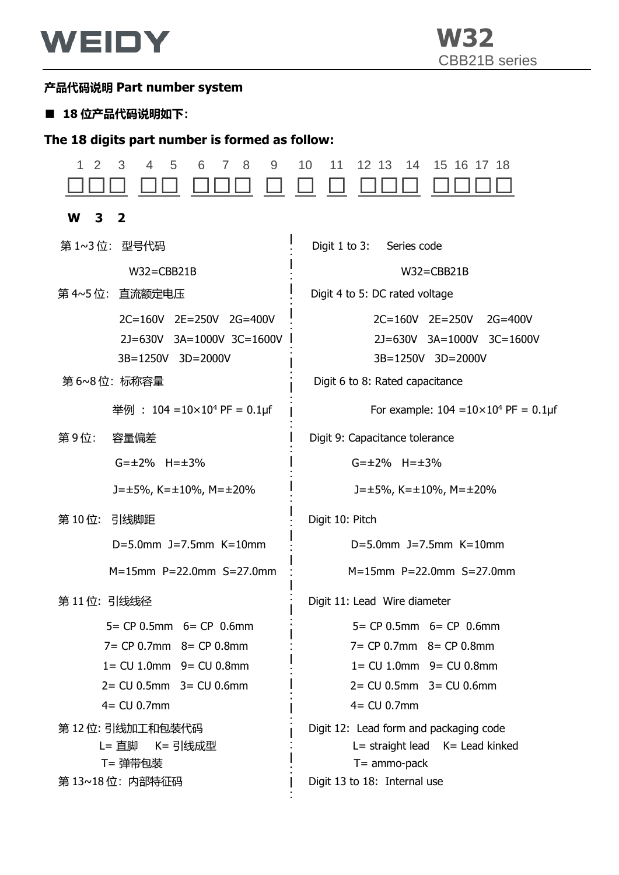

### **产品代码说明 Part number system**

### ■ 18 位产品代码说明如下:

### **The 18 digits part number is formed as follow:**

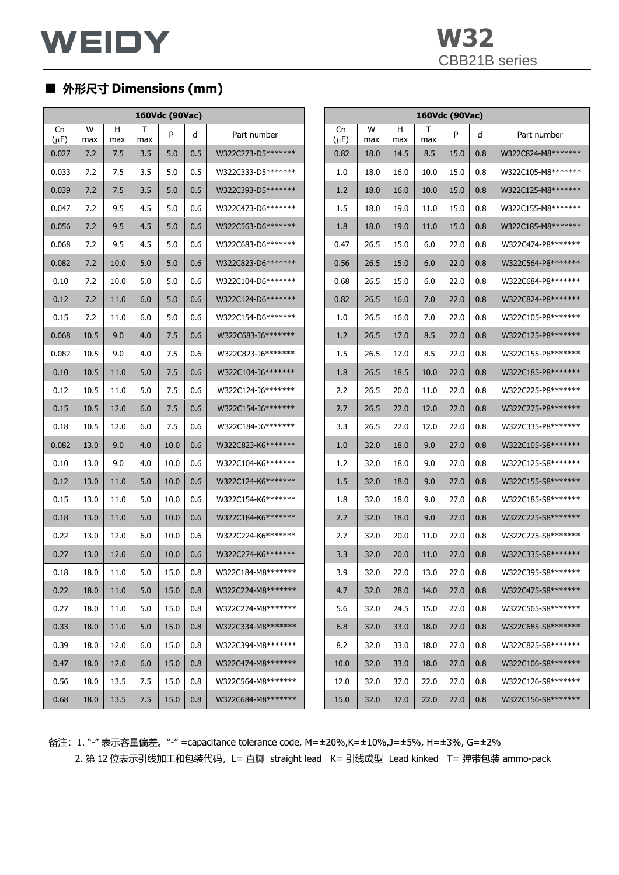|                 |          |          |          | 160Vdc (90Vac) |     |                     |                 |          |          |          |      |     |                     |
|-----------------|----------|----------|----------|----------------|-----|---------------------|-----------------|----------|----------|----------|------|-----|---------------------|
| Cn<br>$(\mu F)$ | W<br>max | н<br>max | Т<br>max | P              | d   | Part number         | Cn<br>$(\mu F)$ | W<br>max | н<br>max | Т<br>max | P    | d   | Part number         |
| 0.027           | 7.2      | 7.5      | 3.5      | 5.0            | 0.5 | W322C273-D5*******  | 0.82            | 18.0     | 14.5     | 8.5      | 15.0 | 0.8 | W322C824-M8*******  |
| 0.033           | 7.2      | 7.5      | 3.5      | 5.0            | 0.5 | W322C333-D5*******  | 1.0             | 18.0     | 16.0     | 10.0     | 15.0 | 0.8 | W322C105-M8*******  |
| 0.039           | 7.2      | 7.5      | 3.5      | 5.0            | 0.5 | W322C393-D5*******  | 1.2             | 18.0     | 16.0     | 10.0     | 15.0 | 0.8 | W322C125-M8*******  |
| 0.047           | 7.2      | 9.5      | 4.5      | 5.0            | 0.6 | W322C473-D6*******  | 1.5             | 18.0     | 19.0     | 11.0     | 15.0 | 0.8 | W322C155-M8*******  |
| 0.056           | 7.2      | 9.5      | 4.5      | 5.0            | 0.6 | W322C563-D6*******  | 1.8             | 18.0     | 19.0     | 11.0     | 15.0 | 0.8 | W322C185-M8*******  |
| 0.068           | 7.2      | 9.5      | 4.5      | 5.0            | 0.6 | W322C683-D6*******  | 0.47            | 26.5     | 15.0     | 6.0      | 22.0 | 0.8 | W322C474-P8*******  |
| 0.082           | 7.2      | 10.0     | 5.0      | 5.0            | 0.6 | W322C823-D6*******  | 0.56            | 26.5     | 15.0     | 6.0      | 22.0 | 0.8 | W322C564-P8*******  |
| 0.10            | 7.2      | 10.0     | 5.0      | 5.0            | 0.6 | W322C104-D6*******  | 0.68            | 26.5     | 15.0     | 6.0      | 22.0 | 0.8 | W322C684-P8*******  |
| 0.12            | 7.2      | 11.0     | 6.0      | 5.0            | 0.6 | W322C124-D6*******  | 0.82            | 26.5     | 16.0     | 7.0      | 22.0 | 0.8 | W322C824-P8*******  |
| 0.15            | 7.2      | 11.0     | 6.0      | 5.0            | 0.6 | W322C154-D6*******  | 1.0             | 26.5     | 16.0     | 7.0      | 22.0 | 0.8 | W322C105-P8*******  |
| 0.068           | 10.5     | 9.0      | 4.0      | 7.5            | 0.6 | W322C683-J6*******  | 1.2             | 26.5     | 17.0     | 8.5      | 22.0 | 0.8 | W322C125-P8*******  |
| 0.082           | 10.5     | 9.0      | 4.0      | 7.5            | 0.6 | W322C823-J6*******  | 1.5             | 26.5     | 17.0     | 8.5      | 22.0 | 0.8 | W322C155-P8*******  |
| 0.10            | 10.5     | 11.0     | 5.0      | 7.5            | 0.6 | W322C104-J6*******  | 1.8             | 26.5     | 18.5     | 10.0     | 22.0 | 0.8 | W322C185-P8*******  |
| 0.12            | 10.5     | 11.0     | 5.0      | 7.5            | 0.6 | W322C124-J6*******  | 2.2             | 26.5     | 20.0     | 11.0     | 22.0 | 0.8 | W322C225-P8*******  |
| 0.15            | 10.5     | 12.0     | 6.0      | 7.5            | 0.6 | W322C154-J6*******  | 2.7             | 26.5     | 22.0     | 12.0     | 22.0 | 0.8 | W322C275-P8*******  |
| 0.18            | 10.5     | 12.0     | 6.0      | 7.5            | 0.6 | W322C184-J6*******  | 3.3             | 26.5     | 22.0     | 12.0     | 22.0 | 0.8 | W322C335-P8*******  |
| 0.082           | 13.0     | 9.0      | 4.0      | 10.0           | 0.6 | W322C823-K6*******  | 1.0             | 32.0     | 18.0     | 9.0      | 27.0 | 0.8 | W322C105-S8*******  |
| 0.10            | 13.0     | 9.0      | 4.0      | 10.0           | 0.6 | W322C104-K6******** | 1.2             | 32.0     | 18.0     | 9.0      | 27.0 | 0.8 | W322C125-S8*******  |
| 0.12            | 13.0     | 11.0     | 5.0      | 10.0           | 0.6 | W322C124-K6*******  | 1.5             | 32.0     | 18.0     | 9.0      | 27.0 | 0.8 | W322C155-S8******** |
| 0.15            | 13.0     | 11.0     | 5.0      | 10.0           | 0.6 | W322C154-K6*******  | 1.8             | 32.0     | 18.0     | 9.0      | 27.0 | 0.8 | W322C185-S8******** |
| 0.18            | 13.0     | 11.0     | 5.0      | 10.0           | 0.6 | W322C184-K6*******  | 2.2             | 32.0     | 18.0     | 9.0      | 27.0 | 0.8 | W322C225-S8******** |
| 0.22            | 13.0     | 12.0     | 6.0      | 10.0           | 0.6 | W322C224-K6*******  | 2.7             | 32.0     | 20.0     | 11.0     | 27.0 | 0.8 | W322C275-S8*******  |
| 0.27            | 13.0     | 12.0     | 6.0      | 10.0           | 0.6 | W322C274-K6*******  | 3.3             | 32.0     | 20.0     | 11.0     | 27.0 | 0.8 | W322C335-S8*******  |
| 0.18            | 18.0     | $11.0\,$ | 5.0      | 15.0           | 0.8 | W322C184-M8*******  | 3.9             | 32.0     | 22.0     | 13.0     | 27.0 | 0.8 | W322C395-S8*******  |
| 0.22            | 18.0     | 11.0     | 5.0      | 15.0           | 0.8 | W322C224-M8*******  | 4.7             | 32.0     | 28.0     | 14.0     | 27.0 | 0.8 | W322C475-S8*******  |
| 0.27            | 18.0     | 11.0     | 5.0      | 15.0           | 0.8 | W322C274-M8*******  | 5.6             | 32.0     | 24.5     | 15.0     | 27.0 | 0.8 | W322C565-S8*******  |
| 0.33            | 18.0     | 11.0     | 5.0      | 15.0           | 0.8 | W322C334-M8*******  | 6.8             | 32.0     | 33.0     | 18.0     | 27.0 | 0.8 | W322C685-S8*******  |
| 0.39            | 18.0     | 12.0     | 6.0      | 15.0           | 0.8 | W322C394-M8*******  | 8.2             | 32.0     | 33.0     | 18.0     | 27.0 | 0.8 | W322C825-S8*******  |
| 0.47            | 18.0     | 12.0     | 6.0      | 15.0           | 0.8 | W322C474-M8*******  | 10.0            | 32.0     | 33.0     | 18.0     | 27.0 | 0.8 | W322C106-S8*******  |
| 0.56            | 18.0     | 13.5     | 7.5      | 15.0           | 0.8 | W322C564-M8*******  | 12.0            | 32.0     | 37.0     | 22.0     | 27.0 | 0.8 | W322C126-S8*******  |
| 0.68            | 18.0     | 13.5     | 7.5      | 15.0           | 0.8 | W322C684-M8*******  | 15.0            | 32.0     | 37.0     | 22.0     | 27.0 | 0.8 | W322C156-S8*******  |

备注:1. "-" 表示容量偏差。"-" =capacitance tolerance code, M=±20%,K=±10%,J=±5%, H=±3%, G=±2% 2. 第 12 位表示引线加工和包装代码, L= 直脚 straight lead K= 引线成型 Lead kinked T= 弹带包装 ammo-pack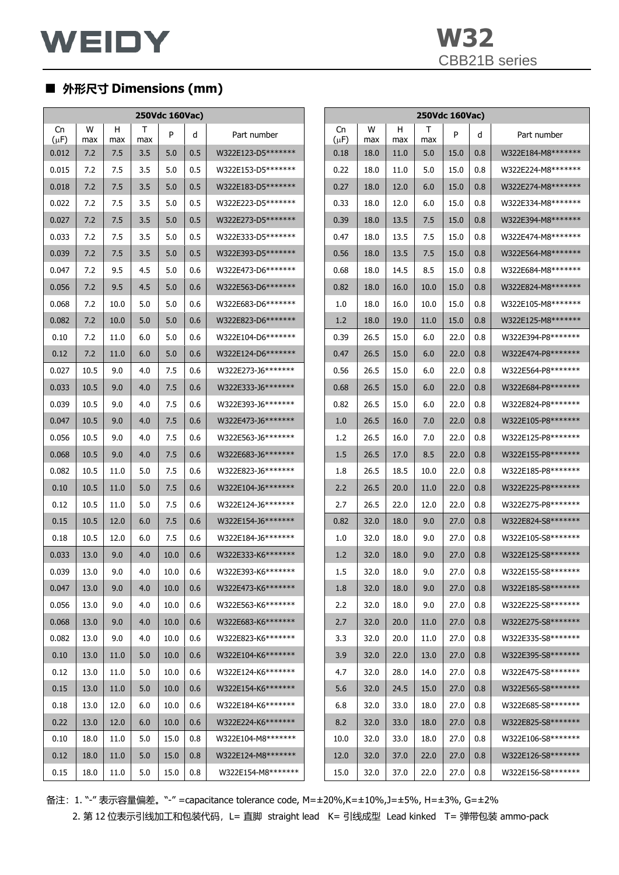|                 | 250Vdc 160Vac) |          |          |      |     |                    |  |                 |          |          | 250Vdc 160Vac) |      |         |                    |
|-----------------|----------------|----------|----------|------|-----|--------------------|--|-----------------|----------|----------|----------------|------|---------|--------------------|
| Cn<br>$(\mu F)$ | W<br>max       | н<br>max | т<br>max | P    | d   | Part number        |  | Cn<br>$(\mu F)$ | W<br>max | H<br>max | Т<br>max       | P    | d       | Part number        |
| 0.012           | 7.2            | 7.5      | 3.5      | 5.0  | 0.5 | W322E123-D5******* |  | 0.18            | 18.0     | 11.0     | 5.0            | 15.0 | 0.8     | W322E184-M8******* |
| 0.015           | 7.2            | 7.5      | 3.5      | 5.0  | 0.5 | W322E153-D5******* |  | 0.22            | 18.0     | 11.0     | 5.0            | 15.0 | 0.8     | W322E224-M8******* |
| 0.018           | 7.2            | 7.5      | 3.5      | 5.0  | 0.5 | W322E183-D5******* |  | 0.27            | 18.0     | 12.0     | 6.0            | 15.0 | 0.8     | W322E274-M8******* |
| 0.022           | 7.2            | 7.5      | 3.5      | 5.0  | 0.5 | W322E223-D5******* |  | 0.33            | 18.0     | 12.0     | 6.0            | 15.0 | 0.8     | W322E334-M8******* |
| 0.027           | 7.2            | 7.5      | 3.5      | 5.0  | 0.5 | W322E273-D5******* |  | 0.39            | 18.0     | 13.5     | 7.5            | 15.0 | 0.8     | W322E394-M8******* |
| 0.033           | 7.2            | 7.5      | 3.5      | 5.0  | 0.5 | W322E333-D5******* |  | 0.47            | 18.0     | 13.5     | 7.5            | 15.0 | 0.8     | W322E474-M8******* |
| 0.039           | 7.2            | 7.5      | 3.5      | 5.0  | 0.5 | W322E393-D5******* |  | 0.56            | 18.0     | 13.5     | 7.5            | 15.0 | 0.8     | W322E564-M8******* |
| 0.047           | 7.2            | 9.5      | 4.5      | 5.0  | 0.6 | W322E473-D6******* |  | 0.68            | 18.0     | 14.5     | 8.5            | 15.0 | 0.8     | W322E684-M8******* |
| 0.056           | 7.2            | 9.5      | 4.5      | 5.0  | 0.6 | W322E563-D6******* |  | 0.82            | 18.0     | 16.0     | 10.0           | 15.0 | 0.8     | W322E824-M8******* |
| 0.068           | 7.2            | 10.0     | 5.0      | 5.0  | 0.6 | W322E683-D6******* |  | 1.0             | 18.0     | 16.0     | 10.0           | 15.0 | 0.8     | W322E105-M8******* |
| 0.082           | 7.2            | 10.0     | 5.0      | 5.0  | 0.6 | W322E823-D6******* |  | 1.2             | 18.0     | 19.0     | 11.0           | 15.0 | 0.8     | W322E125-M8******* |
| 0.10            | 7.2            | 11.0     | 6.0      | 5.0  | 0.6 | W322E104-D6******* |  | 0.39            | 26.5     | 15.0     | 6.0            | 22.0 | 0.8     | W322E394-P8******* |
| 0.12            | 7.2            | 11.0     | 6.0      | 5.0  | 0.6 | W322E124-D6******* |  | 0.47            | 26.5     | 15.0     | 6.0            | 22.0 | 0.8     | W322E474-P8******* |
| 0.027           | 10.5           | 9.0      | 4.0      | 7.5  | 0.6 | W322E273-J6******* |  | 0.56            | 26.5     | 15.0     | 6.0            | 22.0 | 0.8     | W322E564-P8******* |
| 0.033           | 10.5           | 9.0      | 4.0      | 7.5  | 0.6 | W322E333-J6******* |  | 0.68            | 26.5     | 15.0     | 6.0            | 22.0 | 0.8     | W322E684-P8******* |
| 0.039           | 10.5           | 9.0      | 4.0      | 7.5  | 0.6 | W322E393-J6******* |  | 0.82            | 26.5     | 15.0     | 6.0            | 22.0 | 0.8     | W322E824-P8******* |
| 0.047           | 10.5           | 9.0      | 4.0      | 7.5  | 0.6 | W322E473-J6******* |  | 1.0             | 26.5     | 16.0     | 7.0            | 22.0 | 0.8     | W322E105-P8******* |
| 0.056           | 10.5           | 9.0      | 4.0      | 7.5  | 0.6 | W322E563-J6******* |  | 1.2             | 26.5     | 16.0     | 7.0            | 22.0 | 0.8     | W322E125-P8******* |
| 0.068           | 10.5           | 9.0      | 4.0      | 7.5  | 0.6 | W322E683-J6******* |  | 1.5             | 26.5     | 17.0     | 8.5            | 22.0 | 0.8     | W322E155-P8******* |
| 0.082           | 10.5           | 11.0     | 5.0      | 7.5  | 0.6 | W322E823-J6******* |  | 1.8             | 26.5     | 18.5     | 10.0           | 22.0 | 0.8     | W322E185-P8******* |
| 0.10            | 10.5           | 11.0     | 5.0      | 7.5  | 0.6 | W322E104-J6******* |  | 2.2             | 26.5     | 20.0     | 11.0           | 22.0 | 0.8     | W322E225-P8******* |
| 0.12            | 10.5           | 11.0     | 5.0      | 7.5  | 0.6 | W322E124-J6******* |  | 2.7             | 26.5     | 22.0     | 12.0           | 22.0 | 0.8     | W322E275-P8******* |
| 0.15            | 10.5           | 12.0     | 6.0      | 7.5  | 0.6 | W322E154-J6******* |  | 0.82            | 32.0     | 18.0     | 9.0            | 27.0 | 0.8     | W322E824-S8******* |
| 0.18            | 10.5           | 12.0     | 6.0      | 7.5  | 0.6 | W322E184-J6******* |  | 1.0             | 32.0     | 18.0     | 9.0            | 27.0 | 0.8     | W322E105-S8******* |
| 0.033           | 13.0           | 9.0      | 4.0      | 10.0 | 0.6 | W322E333-K6******* |  | 1.2             | 32.0     | 18.0     | 9.0            | 27.0 | 0.8     | W322E125-S8******* |
| 0.039           | 13.0           | 9.0      | 4.0      | 10.0 | 0.6 | W322E393-K6******* |  | 1.5             | 32.0     | 18.0     | 9.0            | 27.0 | $0.8\,$ | W322E155-S8******* |
| 0.047           | 13.0           | 9.0      | 4.0      | 10.0 | 0.6 | W322E473-K6******* |  | 1.8             | 32.0     | 18.0     | 9.0            | 27.0 | 0.8     | W322E185-S8******* |
| 0.056           | 13.0           | 9.0      | 4.0      | 10.0 | 0.6 | W322E563-K6******* |  | 2.2             | 32.0     | 18.0     | 9.0            | 27.0 | 0.8     | W322E225-S8******* |
| 0.068           | 13.0           | 9.0      | 4.0      | 10.0 | 0.6 | W322E683-K6******* |  | 2.7             | 32.0     | 20.0     | 11.0           | 27.0 | 0.8     | W322E275-S8******* |
| 0.082           | 13.0           | 9.0      | 4.0      | 10.0 | 0.6 | W322E823-K6******* |  | 3.3             | 32.0     | 20.0     | 11.0           | 27.0 | 0.8     | W322E335-S8******* |
| 0.10            | 13.0           | 11.0     | 5.0      | 10.0 | 0.6 | W322E104-K6******* |  | 3.9             | 32.0     | 22.0     | 13.0           | 27.0 | 0.8     | W322E395-S8******* |
| 0.12            | 13.0           | 11.0     | 5.0      | 10.0 | 0.6 | W322E124-K6******* |  | 4.7             | 32.0     | 28.0     | 14.0           | 27.0 | 0.8     | W322E475-S8******* |
| 0.15            | 13.0           | 11.0     | 5.0      | 10.0 | 0.6 | W322E154-K6******* |  | 5.6             | 32.0     | 24.5     | 15.0           | 27.0 | 0.8     | W322E565-S8******* |
| 0.18            | 13.0           | 12.0     | 6.0      | 10.0 | 0.6 | W322E184-K6******* |  | 6.8             | 32.0     | 33.0     | 18.0           | 27.0 | 0.8     | W322E685-S8******* |
| 0.22            | 13.0           | 12.0     | 6.0      | 10.0 | 0.6 | W322E224-K6******* |  | 8.2             | 32.0     | 33.0     | 18.0           | 27.0 | 0.8     | W322E825-S8******* |
| 0.10            | 18.0           | 11.0     | 5.0      | 15.0 | 0.8 | W322E104-M8******* |  | 10.0            | 32.0     | 33.0     | 18.0           | 27.0 | 0.8     | W322E106-S8******* |
| 0.12            | 18.0           | 11.0     | 5.0      | 15.0 | 0.8 | W322E124-M8******* |  | 12.0            | 32.0     | 37.0     | 22.0           | 27.0 | 0.8     | W322E126-S8******* |
| 0.15            | 18.0           | 11.0     | 5.0      | 15.0 | 0.8 | W322E154-M8******* |  | 15.0            | 32.0     | 37.0     | 22.0           | 27.0 | 0.8     | W322E156-S8******* |

备注:1. "-" 表示容量偏差。"-" =capacitance tolerance code, M=±20%,K=±10%,J=±5%, H=±3%, G=±2%

2. 第 12 位表示引线加工和包装代码, L= 直脚 straight lead K= 引线成型 Lead kinked T= 弹带包装 ammo-pack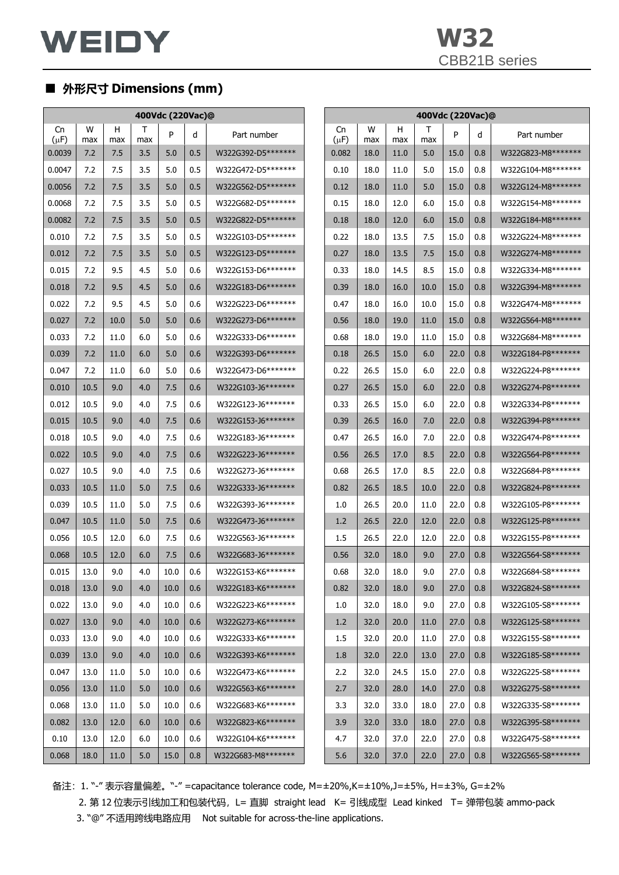|                 |          | 400Vdc (220Vac)@ |          |      |     |                    |  | 400Vdc (220Vac)@ |          |          |          |      |     |                     |
|-----------------|----------|------------------|----------|------|-----|--------------------|--|------------------|----------|----------|----------|------|-----|---------------------|
| Cn<br>$(\mu F)$ | W<br>max | H<br>max         | T<br>max | P    | d   | Part number        |  | Cn<br>$(\mu F)$  | W<br>max | H<br>max | Τ<br>max | P    | d   | Part number         |
| 0.0039          | 7.2      | 7.5              | 3.5      | 5.0  | 0.5 | W322G392-D5******* |  | 0.082            | 18.0     | 11.0     | 5.0      | 15.0 | 0.8 | W322G823-M8*******  |
| 0.0047          | 7.2      | 7.5              | 3.5      | 5.0  | 0.5 | W322G472-D5******* |  | 0.10             | 18.0     | 11.0     | 5.0      | 15.0 | 0.8 | W322G104-M8*******  |
| 0.0056          | 7.2      | 7.5              | 3.5      | 5.0  | 0.5 | W322G562-D5******* |  | 0.12             | 18.0     | 11.0     | 5.0      | 15.0 | 0.8 | W322G124-M8*******  |
| 0.0068          | 7.2      | 7.5              | 3.5      | 5.0  | 0.5 | W322G682-D5******* |  | 0.15             | 18.0     | 12.0     | 6.0      | 15.0 | 0.8 | W322G154-M8*******  |
| 0.0082          | 7.2      | 7.5              | 3.5      | 5.0  | 0.5 | W322G822-D5******* |  | 0.18             | 18.0     | 12.0     | 6.0      | 15.0 | 0.8 | W322G184-M8*******  |
| 0.010           | 7.2      | 7.5              | 3.5      | 5.0  | 0.5 | W322G103-D5******* |  | 0.22             | 18.0     | 13.5     | 7.5      | 15.0 | 0.8 | W322G224-M8*******  |
| 0.012           | 7.2      | 7.5              | 3.5      | 5.0  | 0.5 | W322G123-D5******* |  | 0.27             | 18.0     | 13.5     | 7.5      | 15.0 | 0.8 | W322G274-M8*******  |
| 0.015           | 7.2      | 9.5              | 4.5      | 5.0  | 0.6 | W322G153-D6******* |  | 0.33             | 18.0     | 14.5     | 8.5      | 15.0 | 0.8 | W322G334-M8*******  |
| 0.018           | 7.2      | 9.5              | 4.5      | 5.0  | 0.6 | W322G183-D6******* |  | 0.39             | 18.0     | 16.0     | 10.0     | 15.0 | 0.8 | W322G394-M8*******  |
| 0.022           | 7.2      | 9.5              | 4.5      | 5.0  | 0.6 | W322G223-D6******* |  | 0.47             | 18.0     | 16.0     | 10.0     | 15.0 | 0.8 | W322G474-M8*******  |
| 0.027           | 7.2      | 10.0             | 5.0      | 5.0  | 0.6 | W322G273-D6******* |  | 0.56             | 18.0     | 19.0     | 11.0     | 15.0 | 0.8 | W322G564-M8*******  |
| 0.033           | 7.2      | 11.0             | 6.0      | 5.0  | 0.6 | W322G333-D6******* |  | 0.68             | 18.0     | 19.0     | 11.0     | 15.0 | 0.8 | W322G684-M8*******  |
| 0.039           | 7.2      | 11.0             | 6.0      | 5.0  | 0.6 | W322G393-D6******* |  | 0.18             | 26.5     | 15.0     | 6.0      | 22.0 | 0.8 | W322G184-P8*******  |
| 0.047           | 7.2      | 11.0             | 6.0      | 5.0  | 0.6 | W322G473-D6******* |  | 0.22             | 26.5     | 15.0     | 6.0      | 22.0 | 0.8 | W322G224-P8*******  |
| 0.010           | 10.5     | 9.0              | 4.0      | 7.5  | 0.6 | W322G103-J6******* |  | 0.27             | 26.5     | 15.0     | 6.0      | 22.0 | 0.8 | W322G274-P8*******  |
| 0.012           | 10.5     | 9.0              | 4.0      | 7.5  | 0.6 | W322G123-J6******* |  | 0.33             | 26.5     | 15.0     | 6.0      | 22.0 | 0.8 | W322G334-P8*******  |
| 0.015           | 10.5     | 9.0              | 4.0      | 7.5  | 0.6 | W322G153-J6******* |  | 0.39             | 26.5     | 16.0     | 7.0      | 22.0 | 0.8 | W322G394-P8*******  |
| 0.018           | 10.5     | 9.0              | 4.0      | 7.5  | 0.6 | W322G183-J6******* |  | 0.47             | 26.5     | 16.0     | 7.0      | 22.0 | 0.8 | W322G474-P8*******  |
| 0.022           | 10.5     | 9.0              | 4.0      | 7.5  | 0.6 | W322G223-J6******* |  | 0.56             | 26.5     | 17.0     | 8.5      | 22.0 | 0.8 | W322G564-P8******** |
| 0.027           | 10.5     | 9.0              | 4.0      | 7.5  | 0.6 | W322G273-J6******* |  | 0.68             | 26.5     | 17.0     | 8.5      | 22.0 | 0.8 | W322G684-P8*******  |
| 0.033           | 10.5     | 11.0             | 5.0      | 7.5  | 0.6 | W322G333-J6******* |  | 0.82             | 26.5     | 18.5     | 10.0     | 22.0 | 0.8 | W322G824-P8*******  |
| 0.039           | 10.5     | 11.0             | 5.0      | 7.5  | 0.6 | W322G393-J6******* |  | 1.0              | 26.5     | 20.0     | 11.0     | 22.0 | 0.8 | W322G105-P8*******  |
| 0.047           | 10.5     | 11.0             | 5.0      | 7.5  | 0.6 | W322G473-J6******* |  | 1.2              | 26.5     | 22.0     | 12.0     | 22.0 | 0.8 | W322G125-P8*******  |
| 0.056           | 10.5     | 12.0             | 6.0      | 7.5  | 0.6 | W322G563-J6******* |  | $1.5\,$          | 26.5     | 22.0     | 12.0     | 22.0 | 0.8 | W322G155-P8*******  |
| 0.068           | 10.5     | 12.0             | 6.0      | 7.5  | 0.6 | W322G683-J6******* |  | 0.56             | 32.0     | 18.0     | 9.0      | 27.0 | 0.8 | W322G564-S8*******  |
| 0.015           | 13.0     | 9.0              | 4.0      | 10.0 | 0.6 | W322G153-K6******* |  | 0.68             | 32.0     | 18.0     | 9.0      | 27.0 | 0.8 | W322G684-S8*******  |
| 0.018           | 13.0     | 9.0              | 4.0      | 10.0 | 0.6 | W322G183-K6******* |  | 0.82             | 32.0     | 18.0     | 9.0      | 27.0 | 0.8 | W322G824-S8*******  |
| 0.022           | 13.0     | 9.0              | 4.0      | 10.0 | 0.6 | W322G223-K6******* |  | 1.0              | 32.0     | 18.0     | 9.0      | 27.0 | 0.8 | W322G105-S8*******  |
| 0.027           | 13.0     | 9.0              | 4.0      | 10.0 | 0.6 | W322G273-K6******* |  | 1.2              | 32.0     | 20.0     | 11.0     | 27.0 | 0.8 | W322G125-S8*******  |
| 0.033           | 13.0     | 9.0              | 4.0      | 10.0 | 0.6 | W322G333-K6******* |  | 1.5              | 32.0     | 20.0     | 11.0     | 27.0 | 0.8 | W322G155-S8*******  |
| 0.039           | 13.0     | 9.0              | 4.0      | 10.0 | 0.6 | W322G393-K6******* |  | 1.8              | 32.0     | 22.0     | 13.0     | 27.0 | 0.8 | W322G185-S8*******  |
| 0.047           | 13.0     | 11.0             | 5.0      | 10.0 | 0.6 | W322G473-K6******* |  | 2.2              | 32.0     | 24.5     | 15.0     | 27.0 | 0.8 | W322G225-S8*******  |
| 0.056           | 13.0     | 11.0             | 5.0      | 10.0 | 0.6 | W322G563-K6******* |  | 2.7              | 32.0     | 28.0     | 14.0     | 27.0 | 0.8 | W322G275-S8*******  |
| 0.068           | 13.0     | 11.0             | 5.0      | 10.0 | 0.6 | W322G683-K6******* |  | 3.3              | 32.0     | 33.0     | 18.0     | 27.0 | 0.8 | W322G335-S8*******  |
| 0.082           | 13.0     | 12.0             | 6.0      | 10.0 | 0.6 | W322G823-K6******* |  | 3.9              | 32.0     | 33.0     | 18.0     | 27.0 | 0.8 | W322G395-S8*******  |
| 0.10            | 13.0     | 12.0             | 6.0      | 10.0 | 0.6 | W322G104-K6******* |  | 4.7              | 32.0     | 37.0     | 22.0     | 27.0 | 0.8 | W322G475-S8*******  |
| 0.068           | 18.0     | 11.0             | 5.0      | 15.0 | 0.8 | W322G683-M8******* |  | 5.6              | 32.0     | 37.0     | 22.0     | 27.0 | 0.8 | W322G565-S8*******  |

备注:1. "-" 表示容量偏差。"-" =capacitance tolerance code, M=±20%,K=±10%,J=±5%, H=±3%, G=±2%

2. 第 12 位表示引线加工和包装代码, L= 直脚 straight lead K= 引线成型 Lead kinked T= 弹带包装 ammo-pack 3. "@" 不适用跨线电路应用 Not suitable for across-the-line applications.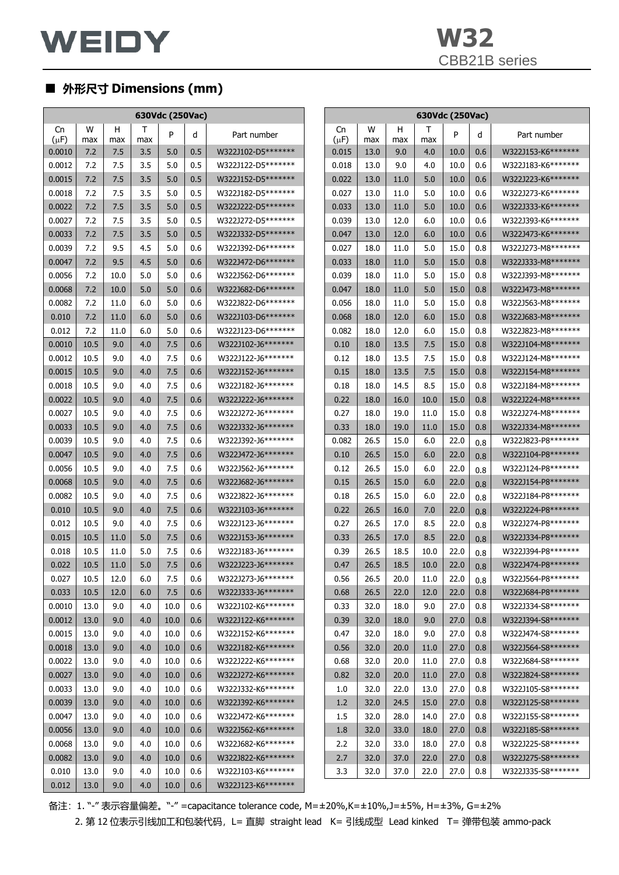| 630Vdc (250Vac) |          |          |          |      |     |                     |                 |          |          | 630Vdc (250Vac) |      |     |                    |
|-----------------|----------|----------|----------|------|-----|---------------------|-----------------|----------|----------|-----------------|------|-----|--------------------|
| Cn<br>$(\mu F)$ | W<br>max | н<br>max | Τ<br>max | P    | d   | Part number         | Cn<br>$(\mu F)$ | w<br>max | н<br>max | Τ<br>max        | P    | d   | Part number        |
| 0.0010          | 7.2      | 7.5      | 3.5      | 5.0  | 0.5 | W322J102-D5*******  | 0.015           | 13.0     | 9.0      | 4.0             | 10.0 | 0.6 | W322J153-K6******* |
| 0.0012          | 7.2      | 7.5      | 3.5      | 5.0  | 0.5 | W322J122-D5*******  | 0.018           | 13.0     | 9.0      | 4.0             | 10.0 | 0.6 | W322J183-K6******* |
| 0.0015          | 7.2      | 7.5      | 3.5      | 5.0  | 0.5 | W322J152-D5*******  | 0.022           | 13.0     | 11.0     | 5.0             | 10.0 | 0.6 | W322J223-K6******* |
| 0.0018          | 7.2      | 7.5      | 3.5      | 5.0  | 0.5 | W322J182-D5*******  | 0.027           | 13.0     | 11.0     | 5.0             | 10.0 | 0.6 | W322J273-K6******* |
| 0.0022          | 7.2      | 7.5      | 3.5      | 5.0  | 0.5 | W322J222-D5*******  | 0.033           | 13.0     | 11.0     | 5.0             | 10.0 | 0.6 | W322J333-K6******* |
| 0.0027          | 7.2      | 7.5      | 3.5      | 5.0  | 0.5 | W322J272-D5*******  | 0.039           | 13.0     | 12.0     | 6.0             | 10.0 | 0.6 | W322J393-K6******* |
| 0.0033          | 7.2      | 7.5      | 3.5      | 5.0  | 0.5 | W322J332-D5*******  | 0.047           | 13.0     | 12.0     | 6.0             | 10.0 | 0.6 | W322J473-K6******* |
| 0.0039          | 7.2      | 9.5      | 4.5      | 5.0  | 0.6 | W322J392-D6*******  | 0.027           | 18.0     | 11.0     | 5.0             | 15.0 | 0.8 | W322J273-M8******* |
| 0.0047          | 7.2      | 9.5      | 4.5      | 5.0  | 0.6 | W322J472-D6*******  | 0.033           | 18.0     | 11.0     | 5.0             | 15.0 | 0.8 | W322J333-M8******* |
| 0.0056          | 7.2      | 10.0     | 5.0      | 5.0  | 0.6 | W322J562-D6******** | 0.039           | 18.0     | 11.0     | 5.0             | 15.0 | 0.8 | W322J393-M8******* |
| 0.0068          | 7.2      | 10.0     | 5.0      | 5.0  | 0.6 | W322J682-D6*******  | 0.047           | 18.0     | 11.0     | 5.0             | 15.0 | 0.8 | W322J473-M8******* |
| 0.0082          | 7.2      | 11.0     | 6.0      | 5.0  | 0.6 | W322J822-D6*******  | 0.056           | 18.0     | 11.0     | 5.0             | 15.0 | 0.8 | W322J563-M8******* |
| 0.010           | 7.2      | 11.0     | 6.0      | 5.0  | 0.6 | W322J103-D6*******  | 0.068           | 18.0     | 12.0     | 6.0             | 15.0 | 0.8 | W322J683-M8******* |
| 0.012           | 7.2      | 11.0     | 6.0      | 5.0  | 0.6 | W322J123-D6*******  | 0.082           | 18.0     | 12.0     | 6.0             | 15.0 | 0.8 | W322J823-M8******* |
| 0.0010          | 10.5     | 9.0      | 4.0      | 7.5  | 0.6 | W322J102-J6*******  | 0.10            | 18.0     | 13.5     | 7.5             | 15.0 | 0.8 | W322J104-M8******* |
| 0.0012          | 10.5     | 9.0      | 4.0      | 7.5  | 0.6 | W322J122-J6*******  | 0.12            | 18.0     | 13.5     | 7.5             | 15.0 | 0.8 | W322J124-M8******* |
| 0.0015          | 10.5     | 9.0      | 4.0      | 7.5  | 0.6 | W322J152-J6*******  | 0.15            | 18.0     | 13.5     | 7.5             | 15.0 | 0.8 | W322J154-M8******* |
| 0.0018          | 10.5     | 9.0      | 4.0      | 7.5  | 0.6 | W322J182-J6*******  | 0.18            | 18.0     | 14.5     | 8.5             | 15.0 | 0.8 | W322J184-M8******* |
| 0.0022          | 10.5     | 9.0      | 4.0      | 7.5  | 0.6 | W322J222-J6*******  | 0.22            | 18.0     | 16.0     | 10.0            | 15.0 | 0.8 | W322J224-M8******* |
| 0.0027          | 10.5     | 9.0      | 4.0      | 7.5  | 0.6 | W322J272-J6*******  | 0.27            | 18.0     | 19.0     | 11.0            | 15.0 | 0.8 | W322J274-M8******* |
| 0.0033          | 10.5     | 9.0      | 4.0      | 7.5  | 0.6 | W322J332-J6*******  | 0.33            | 18.0     | 19.0     | 11.0            | 15.0 | 0.8 | W322J334-M8******* |
| 0.0039          | 10.5     | 9.0      | 4.0      | 7.5  | 0.6 | W322J392-J6*******  | 0.082           | 26.5     | 15.0     | 6.0             | 22.0 | 0.8 | W322J823-P8******* |
| 0.0047          | 10.5     | 9.0      | 4.0      | 7.5  | 0.6 | W322J472-J6*******  | 0.10            | 26.5     | 15.0     | 6.0             | 22.0 | 0.8 | W322J104-P8******* |
| 0.0056          | 10.5     | 9.0      | 4.0      | 7.5  | 0.6 | W322J562-J6*******  | 0.12            | 26.5     | 15.0     | 6.0             | 22.0 | 0.8 | W322J124-P8******* |
| 0.0068          | 10.5     | 9.0      | 4.0      | 7.5  | 0.6 | W322J682-J6*******  | 0.15            | 26.5     | 15.0     | 6.0             | 22.0 | 0.8 | W322J154-P8******* |
| 0.0082          | 10.5     | 9.0      | 4.0      | 7.5  | 0.6 | W322J822-J6*******  | 0.18            | 26.5     | 15.0     | 6.0             | 22.0 | 0.8 | W322J184-P8******* |
| 0.010           | 10.5     | 9.0      | 4.0      | 7.5  | 0.6 | W322J103-J6*******  | 0.22            | 26.5     | 16.0     | 7.0             | 22.0 | 0.8 | W322J224-P8******* |
| 0.012           | 10.5     | 9.0      | 4.0      | 7.5  | 0.6 | W322J123-J6*******  | 0.27            | 26.5     | 17.0     | 8.5             | 22.0 | 0.8 | W322J274-P8******* |
| 0.015           | 10.5     | 11.0     | 5.0      | 7.5  | 0.6 | W322J153-J6*******  | 0.33            | 26.5     | 17.0     | 8.5             | 22.0 | 0.8 | W322J334-P8******* |
| 0.018           | 10.5     | 11.0     | 5.0      | 7.5  | 0.6 | W322J183-J6*******  | 0.39            | 26.5     | 18.5     | 10.0            | 22.0 | 0.8 | W322J394-P8******* |
| 0.022           | 10.5     | 11.0     | 5.0      | 7.5  | 0.6 | W322J223-J6*******  | 0.47            | 26.5     | 18.5     | 10.0            | 22.0 | 0.8 | W322J474-P8******* |
| 0.027           | 10.5     | 12.0     | 6.0      | 7.5  | 0.6 | W322J273-J6*******  | 0.56            | 26.5     | 20.0     | 11.0            | 22.0 | 0.8 | W322J564-P8******* |
| 0.033           | 10.5     | 12.0     | 6.0      | 7.5  | 0.6 | W322J333-J6*******  | 0.68            | 26.5     | 22.0     | 12.0            | 22.0 | 0.8 | W322J684-P8******* |
| 0.0010          | 13.0     | 9.0      | 4.0      | 10.0 | 0.6 | W322J102-K6*******  | 0.33            | 32.0     | 18.0     | 9.0             | 27.0 | 0.8 | W322J334-S8******* |
| 0.0012          | 13.0     | 9.0      | 4.0      | 10.0 | 0.6 | W322J122-K6*******  | 0.39            | 32.0     | 18.0     | 9.0             | 27.0 | 0.8 | W322J394-S8******* |
| 0.0015          | 13.0     | 9.0      | 4.0      | 10.0 | 0.6 | W322J152-K6*******  | 0.47            | 32.0     | 18.0     | 9.0             | 27.0 | 0.8 | W322J474-S8******* |
| 0.0018          | 13.0     | 9.0      | 4.0      | 10.0 | 0.6 | W322J182-K6*******  | 0.56            | 32.0     | 20.0     | 11.0            | 27.0 | 0.8 | W322J564-S8******* |
| 0.0022          | 13.0     | 9.0      | 4.0      | 10.0 | 0.6 | W322J222-K6*******  | 0.68            | 32.0     | 20.0     | 11.0            | 27.0 | 0.8 | W322J684-S8******* |
| 0.0027          | 13.0     | 9.0      | 4.0      | 10.0 | 0.6 | W322J272-K6*******  | 0.82            | 32.0     | 20.0     | 11.0            | 27.0 | 0.8 | W322J824-S8******* |
| 0.0033          | 13.0     | 9.0      | 4.0      | 10.0 | 0.6 | W322J332-K6*******  | 1.0             | 32.0     | 22.0     | 13.0            | 27.0 | 0.8 | W322J105-S8******* |
| 0.0039          | 13.0     | 9.0      | 4.0      | 10.0 | 0.6 | W322J392-K6*******  | 1.2             | 32.0     | 24.5     | 15.0            | 27.0 | 0.8 | W322J125-S8******* |
| 0.0047          | 13.0     | 9.0      | 4.0      | 10.0 | 0.6 | W322J472-K6*******  | 1.5             | 32.0     | 28.0     | 14.0            | 27.0 | 0.8 | W322J155-S8******* |
| 0.0056          | 13.0     | 9.0      | 4.0      | 10.0 | 0.6 | W322J562-K6*******  | 1.8             | 32.0     | 33.0     | 18.0            | 27.0 | 0.8 | W322J185-S8******* |
| 0.0068          | 13.0     | 9.0      | 4.0      | 10.0 | 0.6 | W322J682-K6*******  | 2.2             | 32.0     | 33.0     | 18.0            | 27.0 | 0.8 | W322J225-S8******* |
| 0.0082          | 13.0     | 9.0      | 4.0      | 10.0 | 0.6 | W322J822-K6*******  | 2.7             | 32.0     | 37.0     | 22.0            | 27.0 | 0.8 | W322J275-S8******* |
| 0.010           | 13.0     | 9.0      | 4.0      | 10.0 | 0.6 | W322J103-K6*******  | 3.3             | 32.0     | 37.0     | 22.0            | 27.0 | 0.8 | W322J335-S8******* |
| 0.012           | 13.0     | 9.0      | 4.0      | 10.0 | 0.6 | W322J123-K6*******  |                 |          |          |                 |      |     |                    |

备注:1. "-" 表示容量偏差。"-" =capacitance tolerance code, M=±20%,K=±10%,J=±5%, H=±3%, G=±2%

2. 第 12 位表示引线加工和包装代码, L= 直脚 straight lead K= 引线成型 Lead kinked T= 弹带包装 ammo-pack